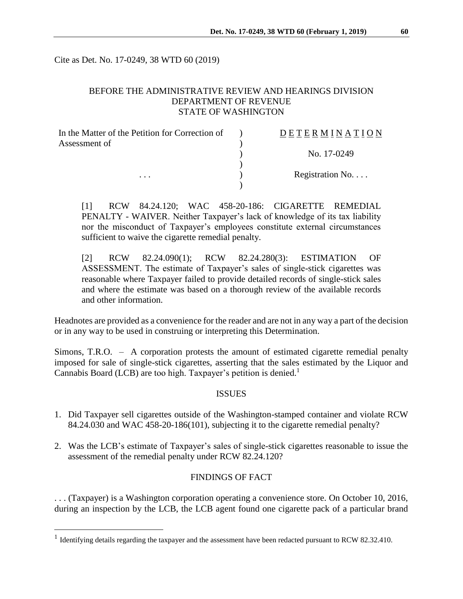Cite as Det. No. 17-0249, 38 WTD 60 (2019)

## BEFORE THE ADMINISTRATIVE REVIEW AND HEARINGS DIVISION DEPARTMENT OF REVENUE STATE OF WASHINGTON

| In the Matter of the Petition for Correction of | DETERMINATION            |
|-------------------------------------------------|--------------------------|
| Assessment of<br>$\cdots$                       |                          |
|                                                 | No. 17-0249              |
|                                                 |                          |
|                                                 | Registration No. $\dots$ |
|                                                 |                          |

[1] RCW 84.24.120; WAC 458-20-186: CIGARETTE REMEDIAL PENALTY - WAIVER. Neither Taxpayer's lack of knowledge of its tax liability nor the misconduct of Taxpayer's employees constitute external circumstances sufficient to waive the cigarette remedial penalty.

[2] RCW 82.24.090(1); RCW 82.24.280(3): ESTIMATION OF ASSESSMENT. The estimate of Taxpayer's sales of single-stick cigarettes was reasonable where Taxpayer failed to provide detailed records of single-stick sales and where the estimate was based on a thorough review of the available records and other information.

Headnotes are provided as a convenience for the reader and are not in any way a part of the decision or in any way to be used in construing or interpreting this Determination.

Simons, T.R.O. – A corporation protests the amount of estimated cigarette remedial penalty imposed for sale of single-stick cigarettes, asserting that the sales estimated by the Liquor and Cannabis Board (LCB) are too high. Taxpayer's petition is denied.<sup>1</sup>

### **ISSUES**

- 1. Did Taxpayer sell cigarettes outside of the Washington-stamped container and violate RCW 84.24.030 and WAC 458-20-186(101), subjecting it to the cigarette remedial penalty?
- 2. Was the LCB's estimate of Taxpayer's sales of single-stick cigarettes reasonable to issue the assessment of the remedial penalty under RCW 82.24.120?

#### FINDINGS OF FACT

. . . (Taxpayer) is a Washington corporation operating a convenience store. On October 10, 2016, during an inspection by the LCB, the LCB agent found one cigarette pack of a particular brand

 $\overline{a}$ 

<sup>&</sup>lt;sup>1</sup> Identifying details regarding the taxpayer and the assessment have been redacted pursuant to RCW 82.32.410.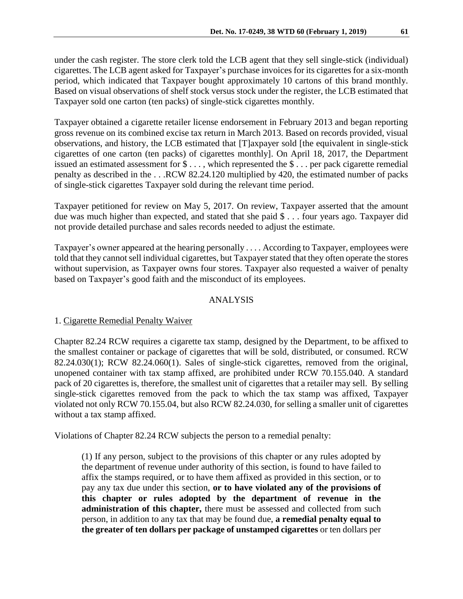under the cash register. The store clerk told the LCB agent that they sell single-stick (individual) cigarettes. The LCB agent asked for Taxpayer's purchase invoices for its cigarettes for a six-month period, which indicated that Taxpayer bought approximately 10 cartons of this brand monthly. Based on visual observations of shelf stock versus stock under the register, the LCB estimated that Taxpayer sold one carton (ten packs) of single-stick cigarettes monthly.

Taxpayer obtained a cigarette retailer license endorsement in February 2013 and began reporting gross revenue on its combined excise tax return in March 2013. Based on records provided, visual observations, and history, the LCB estimated that [T]axpayer sold [the equivalent in single-stick cigarettes of one carton (ten packs) of cigarettes monthly]. On April 18, 2017, the Department issued an estimated assessment for \$ . . . , which represented the \$ . . . per pack cigarette remedial penalty as described in the . . .RCW 82.24.120 multiplied by 420, the estimated number of packs of single-stick cigarettes Taxpayer sold during the relevant time period.

Taxpayer petitioned for review on May 5, 2017. On review, Taxpayer asserted that the amount due was much higher than expected, and stated that she paid \$ . . . four years ago. Taxpayer did not provide detailed purchase and sales records needed to adjust the estimate.

Taxpayer's owner appeared at the hearing personally . . . . According to Taxpayer, employees were told that they cannot sell individual cigarettes, but Taxpayer stated that they often operate the stores without supervision, as Taxpayer owns four stores. Taxpayer also requested a waiver of penalty based on Taxpayer's good faith and the misconduct of its employees.

## ANALYSIS

### 1. Cigarette Remedial Penalty Waiver

Chapter 82.24 RCW requires a cigarette tax stamp, designed by the Department, to be affixed to the smallest container or package of cigarettes that will be sold, distributed, or consumed. RCW 82.24.030(1); RCW 82.24.060(1). Sales of single-stick cigarettes, removed from the original, unopened container with tax stamp affixed, are prohibited under RCW 70.155.040. A standard pack of 20 cigarettes is, therefore, the smallest unit of cigarettes that a retailer may sell. By selling single-stick cigarettes removed from the pack to which the tax stamp was affixed, Taxpayer violated not only RCW 70.155.04, but also RCW 82.24.030, for selling a smaller unit of cigarettes without a tax stamp affixed.

Violations of Chapter 82.24 RCW subjects the person to a remedial penalty:

(1) If any person, subject to the provisions of this chapter or any rules adopted by the department of revenue under authority of this section, is found to have failed to affix the stamps required, or to have them affixed as provided in this section, or to pay any tax due under this section, **or to have violated any of the provisions of this chapter or rules adopted by the department of revenue in the administration of this chapter,** there must be assessed and collected from such person, in addition to any tax that may be found due, **a remedial penalty equal to the greater of ten dollars per package of unstamped cigarettes** or ten dollars per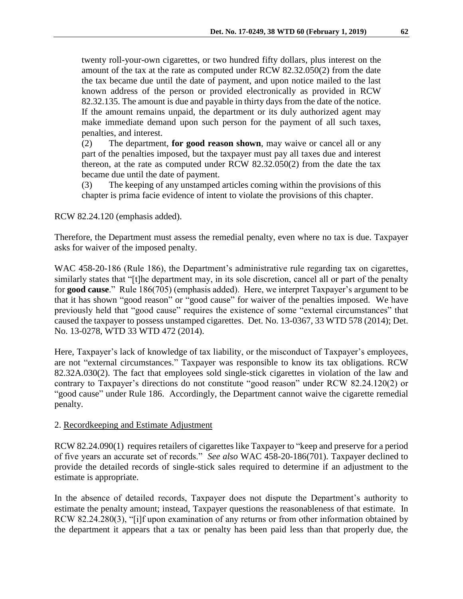twenty roll-your-own cigarettes, or two hundred fifty dollars, plus interest on the amount of the tax at the rate as computed under RCW 82.32.050(2) from the date the tax became due until the date of payment, and upon notice mailed to the last known address of the person or provided electronically as provided in RCW 82.32.135. The amount is due and payable in thirty days from the date of the notice. If the amount remains unpaid, the department or its duly authorized agent may make immediate demand upon such person for the payment of all such taxes, penalties, and interest.

(2) The department, **for good reason shown**, may waive or cancel all or any part of the penalties imposed, but the taxpayer must pay all taxes due and interest thereon, at the rate as computed under RCW 82.32.050(2) from the date the tax became due until the date of payment.

(3) The keeping of any unstamped articles coming within the provisions of this chapter is prima facie evidence of intent to violate the provisions of this chapter.

RCW 82.24.120 (emphasis added).

Therefore, the Department must assess the remedial penalty, even where no tax is due. Taxpayer asks for waiver of the imposed penalty.

WAC 458-20-186 (Rule 186), the Department's administrative rule regarding tax on cigarettes, similarly states that "[t]he department may, in its sole discretion, cancel all or part of the penalty for **good cause**." Rule 186(705) (emphasis added). Here, we interpret Taxpayer's argument to be that it has shown "good reason" or "good cause" for waiver of the penalties imposed. We have previously held that "good cause" requires the existence of some "external circumstances" that caused the taxpayer to possess unstamped cigarettes. Det. No. 13-0367, 33 WTD 578 (2014); Det. No. 13-0278, WTD 33 WTD 472 (2014).

Here, Taxpayer's lack of knowledge of tax liability, or the misconduct of Taxpayer's employees, are not "external circumstances." Taxpayer was responsible to know its tax obligations. RCW 82.32A.030(2). The fact that employees sold single-stick cigarettes in violation of the law and contrary to Taxpayer's directions do not constitute "good reason" under RCW 82.24.120(2) or "good cause" under Rule 186. Accordingly, the Department cannot waive the cigarette remedial penalty.

### 2. Recordkeeping and Estimate Adjustment

RCW 82.24.090(1) requires retailers of cigarettes like Taxpayer to "keep and preserve for a period of five years an accurate set of records." *See also* WAC 458-20-186(701). Taxpayer declined to provide the detailed records of single-stick sales required to determine if an adjustment to the estimate is appropriate.

In the absence of detailed records, Taxpayer does not dispute the Department's authority to estimate the penalty amount; instead, Taxpayer questions the reasonableness of that estimate. In RCW 82.24.280(3), "[i]f upon examination of any returns or from other information obtained by the department it appears that a tax or penalty has been paid less than that properly due, the